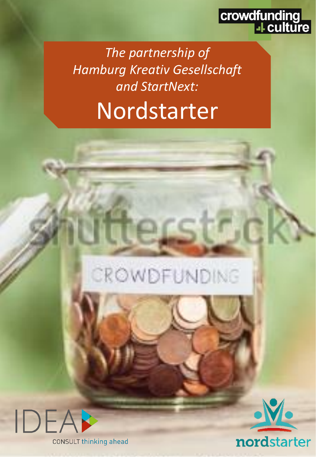

*The partnership of Hamburg Kreativ Gesellschaft and StartNext:* Nordstarter





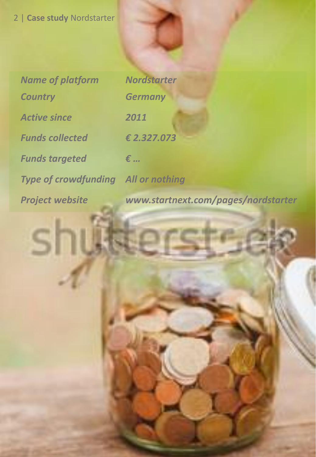| <b>Name of platform</b>                    | <b>Nordstarter</b>            |
|--------------------------------------------|-------------------------------|
| <b>Country</b>                             | <b>Germany</b>                |
| <b>Active since</b>                        | 2011                          |
| <b>Funds collected</b>                     | € 2.327.073                   |
| <b>Funds targeted</b>                      | €                             |
| <b>Type of crowdfunding All or nothing</b> |                               |
| Dusiaabuabala                              | <b>LASLASLAS ARABIA DE AL</b> |

S

| <b>Nordstarter</b>    |  |
|-----------------------|--|
| <b>Germany</b>        |  |
| 2011                  |  |
| €2.327.073            |  |
| $\epsilon$            |  |
| <b>All or nothing</b> |  |

*Project website www.startnext.com/pages/nordstarter*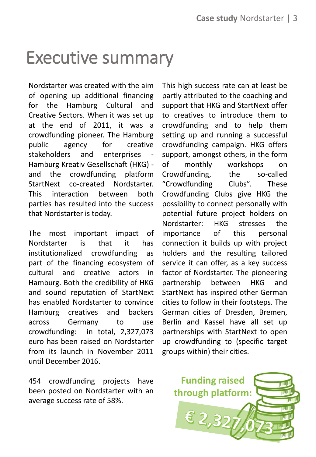## Executive summary

Nordstarter was created with the aim of opening up additional financing for the Hamburg Cultural and Creative Sectors. When it was set up at the end of 2011, it was a crowdfunding pioneer. The Hamburg public agency for creative stakeholders and enterprises Hamburg Kreativ Gesellschaft (HKG) and the crowdfunding platform StartNext co-created Nordstarter. This interaction between both parties has resulted into the success that Nordstarter is today.

The most important impact of Nordstarter is that it has institutionalized crowdfunding as part of the financing ecosystem of cultural and creative actors in Hamburg. Both the credibility of HKG and sound reputation of StartNext has enabled Nordstarter to convince Hamburg creatives and backers across Germany to use crowdfunding: in total, 2,327,073 euro has been raised on Nordstarter from its launch in November 2011 until December 2016.

454 crowdfunding projects have been posted on Nordstarter with an average success rate of 58%.

This high success rate can at least be partly attributed to the coaching and support that HKG and StartNext offer to creatives to introduce them to crowdfunding and to help them setting up and running a successful crowdfunding campaign. HKG offers support, amongst others, in the form of monthly workshops on Crowdfunding, the so-called "Crowdfunding Clubs". These Crowdfunding Clubs give HKG the possibility to connect personally with potential future project holders on Nordstarter: HKG stresses the importance of this personal connection it builds up with project holders and the resulting tailored service it can offer, as a key success factor of Nordstarter. The pioneering partnership between HKG and StartNext has inspired other German cities to follow in their footsteps. The German cities of Dresden, Bremen, Berlin and Kassel have all set up partnerships with StartNext to open up crowdfunding to (specific target groups within) their cities.

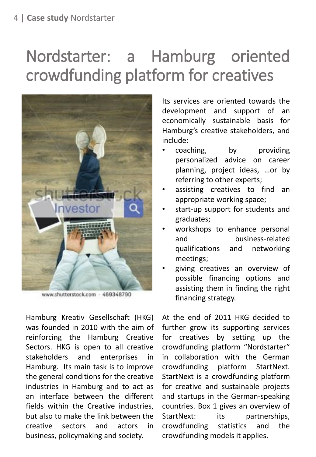## Nordstarter: a Hamburg oriented crowdfunding platform for creatives



www.shutterstock.com - 469348790

Hamburg Kreativ Gesellschaft (HKG) was founded in 2010 with the aim of reinforcing the Hamburg Creative Sectors. HKG is open to all creative stakeholders and enterprises in Hamburg. Its main task is to improve the general conditions for the creative industries in Hamburg and to act as an interface between the different fields within the Creative industries, but also to make the link between the creative sectors and actors in business, policymaking and society.

Its services are oriented towards the development and support of an economically sustainable basis for Hamburg's creative stakeholders, and include:

- coaching, by providing personalized advice on career planning, project ideas, …or by referring to other experts;
- assisting creatives to find an appropriate working space;
- start-up support for students and graduates;
- workshops to enhance personal and business-related qualifications and networking meetings;
- giving creatives an overview of possible financing options and assisting them in finding the right financing strategy.

At the end of 2011 HKG decided to further grow its supporting services for creatives by setting up the crowdfunding platform "Nordstarter" in collaboration with the German crowdfunding platform StartNext. StartNext is a crowdfunding platform for creative and sustainable projects and startups in the German-speaking countries. Box 1 gives an overview of StartNext: its partnerships, crowdfunding statistics and the crowdfunding models it applies.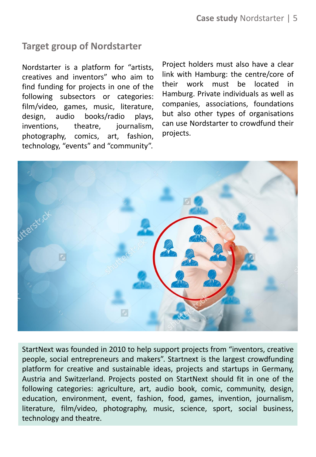### **Target group of Nordstarter**

Nordstarter is a platform for "artists, creatives and inventors" who aim to find funding for projects in one of the following subsectors or categories: film/video, games, music, literature, design, audio books/radio plays, inventions, theatre, iournalism, photography, comics, art, fashion, technology, "events" and "community".

Project holders must also have a clear link with Hamburg: the centre/core of their work must be located in Hamburg. Private individuals as well as companies, associations, foundations but also other types of organisations can use Nordstarter to crowdfund their projects.



StartNext was founded in 2010 to help support projects from "inventors, creative people, social entrepreneurs and makers". Startnext is the largest crowdfunding platform for creative and sustainable ideas, projects and startups in Germany, Austria and Switzerland. Projects posted on StartNext should fit in one of the following categories: agriculture, art, audio book, comic, community, design, education, environment, event, fashion, food, games, invention, journalism, literature, film/video, photography, music, science, sport, social business, technology and theatre.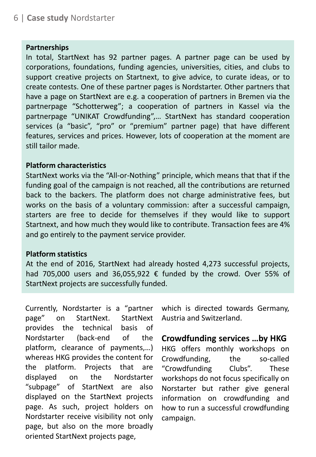#### **Partnerships**

In total, StartNext has 92 partner pages. A partner page can be used by corporations, foundations, funding agencies, universities, cities, and clubs to support creative projects on Startnext, to give advice, to curate ideas, or to create contests. One of these partner pages is Nordstarter. Other partners that have a page on StartNext are e.g. a cooperation of partners in Bremen via the partnerpage "Schotterweg"; a cooperation of partners in Kassel via the partnerpage "UNIKAT Crowdfunding",… StartNext has standard cooperation services (a "basic", "pro" or "premium" partner page) that have different features, services and prices. However, lots of cooperation at the moment are still tailor made.

#### **Platform characteristics**

StartNext works via the "All-or-Nothing" principle, which means that that if the funding goal of the campaign is not reached, all the contributions are returned back to the backers. The platform does not charge administrative fees, but works on the basis of a voluntary commission: after a successful campaign, starters are free to decide for themselves if they would like to support Startnext, and how much they would like to contribute. Transaction fees are 4% and go entirely to the payment service provider.

#### **Platform statistics**

At the end of 2016, StartNext had already hosted 4,273 successful projects, had 705,000 users and 36,055,922  $\epsilon$  funded by the crowd. Over 55% of StartNext projects are successfully funded.

Currently, Nordstarter is a "partner page" on StartNext. StartNext provides the technical basis of Nordstarter (back-end of the platform, clearance of payments,…) whereas HKG provides the content for the platform. Projects that are displayed on the Nordstarter "subpage" of StartNext are also displayed on the StartNext projects page. As such, project holders on Nordstarter receive visibility not only page, but also on the more broadly oriented StartNext projects page,

which is directed towards Germany, Austria and Switzerland.

### **Crowdfunding services …by HKG**

HKG offers monthly workshops on Crowdfunding, the so-called "Crowdfunding Clubs". These workshops do not focus specifically on Norstarter but rather give general information on crowdfunding and how to run a successful crowdfunding campaign.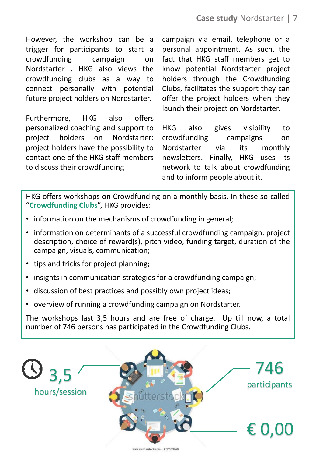However, the workshop can be a trigger for participants to start a crowdfunding campaign on Nordstarter . HKG also views the crowdfunding clubs as a way to connect personally with potential future project holders on Nordstarter.

Furthermore, HKG also offers personalized coaching and support to project holders on Nordstarter: project holders have the possibility to contact one of the HKG staff members to discuss their crowdfunding

campaign via email, telephone or a personal appointment. As such, the fact that HKG staff members get to know potential Nordstarter project holders through the Crowdfunding Clubs, facilitates the support they can offer the project holders when they launch their project on Nordstarter.

HKG also gives visibility to crowdfunding campaigns on Nordstarter via its monthly newsletters. Finally, HKG uses its network to talk about crowdfunding and to inform people about it.

HKG offers workshops on Crowdfunding on a monthly basis. In these so-called "**Crowdfunding Clubs**", HKG provides:

- information on the mechanisms of crowdfunding in general;
- information on determinants of a successful crowdfunding campaign: project description, choice of reward(s), pitch video, funding target, duration of the campaign, visuals, communication;
- tips and tricks for project planning;
- insights in communication strategies for a crowdfunding campaign;
- discussion of best practices and possibly own project ideas;
- overview of running a crowdfunding campaign on Nordstarter.

The workshops last 3,5 hours and are free of charge. Up till now, a total number of 746 persons has participated in the Crowdfunding Clubs.

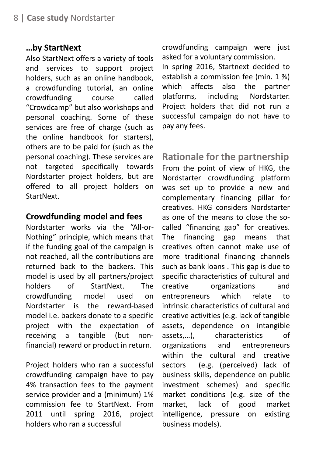### **…by StartNext**

Also StartNext offers a variety of tools and services to support project holders, such as an online handbook, a crowdfunding tutorial, an online crowdfunding course called "Crowdcamp" but also workshops and personal coaching. Some of these services are free of charge (such as the online handbook for starters), others are to be paid for (such as the personal coaching). These services are not targeted specifically towards Nordstarter project holders, but are offered to all project holders on StartNext.

### **Crowdfunding model and fees**

Nordstarter works via the "All-or-Nothing" principle, which means that if the funding goal of the campaign is not reached, all the contributions are returned back to the backers. This model is used by all partners/project holders of StartNext. The crowdfunding model used on Nordstarter is the reward-based model i.e. backers donate to a specific project with the expectation of receiving a tangible (but nonfinancial) reward or product in return.

Project holders who ran a successful crowdfunding campaign have to pay 4% transaction fees to the payment service provider and a (minimum) 1% commission fee to StartNext. From 2011 until spring 2016, project holders who ran a successful

crowdfunding campaign were just asked for a voluntary commission. In spring 2016, Startnext decided to establish a commission fee (min. 1 %) which affects also the partner platforms, including Nordstarter. Project holders that did not run a successful campaign do not have to pay any fees.

**Rationale for the partnership** From the point of view of HKG, the Nordstarter crowdfunding platform was set up to provide a new and complementary financing pillar for creatives. HKG considers Nordstarter as one of the means to close the socalled "financing gap" for creatives. The financing gap means that creatives often cannot make use of more traditional financing channels such as bank loans . This gap is due to specific characteristics of cultural and creative organizations and entrepreneurs which relate to intrinsic characteristics of cultural and creative activities (e.g. lack of tangible assets, dependence on intangible assets,…), characteristics of organizations and entrepreneurs within the cultural and creative sectors (e.g. (perceived) lack of business skills, dependence on public investment schemes) and specific market conditions (e.g. size of the market, lack of good market intelligence, pressure on existing business models).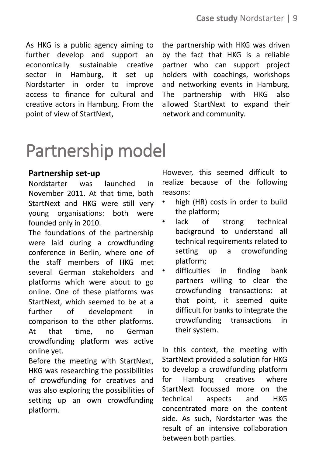As HKG is a public agency aiming to further develop and support an economically sustainable creative sector in Hamburg, it set up Nordstarter in order to improve access to finance for cultural and creative actors in Hamburg. From the point of view of StartNext,

the partnership with HKG was driven by the fact that HKG is a reliable partner who can support project holders with coachings, workshops and networking events in Hamburg. The partnership with HKG also allowed StartNext to expand their network and community.

# Partnership model

### **Partnership set-up**

Nordstarter was launched in November 2011. At that time, both StartNext and HKG were still very young organisations: both were founded only in 2010.

The foundations of the partnership were laid during a crowdfunding conference in Berlin, where one of the staff members of HKG met several German stakeholders and platforms which were about to go online. One of these platforms was StartNext, which seemed to be at a further of development in comparison to the other platforms. At that time, no German crowdfunding platform was active online yet.

Before the meeting with StartNext, HKG was researching the possibilities of crowdfunding for creatives and was also exploring the possibilities of setting up an own crowdfunding platform.

However, this seemed difficult to realize because of the following reasons:

- high (HR) costs in order to build the platform;
- lack of strong technical background to understand all technical requirements related to setting up a crowdfunding platform;
- difficulties in finding bank partners willing to clear the crowdfunding transactions: at that point, it seemed quite difficult for banks to integrate the crowdfunding transactions in their system.

In this context, the meeting with StartNext provided a solution for HKG to develop a crowdfunding platform for Hamburg creatives where StartNext focussed more on the technical aspects and HKG concentrated more on the content side. As such, Nordstarter was the result of an intensive collaboration between both parties.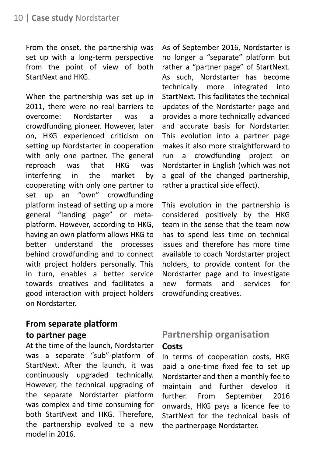From the onset, the partnership was set up with a long-term perspective from the point of view of both StartNext and HKG.

When the partnership was set up in 2011, there were no real barriers to overcome: Nordstarter was a crowdfunding pioneer. However, later on, HKG experienced criticism on setting up Nordstarter in cooperation with only one partner. The general reproach was that HKG was interfering in the market by cooperating with only one partner to set up an "own" crowdfunding platform instead of setting up a more general "landing page" or metaplatform. However, according to HKG, having an own platform allows HKG to better understand the processes behind crowdfunding and to connect with project holders personally. This in turn, enables a better service towards creatives and facilitates a good interaction with project holders on Nordstarter.

### **From separate platform to partner page**

At the time of the launch, Nordstarter was a separate "sub"-platform of StartNext. After the launch, it was continuously upgraded technically. However, the technical upgrading of the separate Nordstarter platform was complex and time consuming for both StartNext and HKG. Therefore, the partnership evolved to a new model in 2016.

As of September 2016, Nordstarter is no longer a "separate" platform but rather a "partner page" of StartNext. As such, Nordstarter has become technically more integrated into StartNext. This facilitates the technical updates of the Nordstarter page and provides a more technically advanced and accurate basis for Nordstarter. This evolution into a partner page makes it also more straightforward to run a crowdfunding project on Nordstarter in English (which was not a goal of the changed partnership, rather a practical side effect).

This evolution in the partnership is considered positively by the HKG team in the sense that the team now has to spend less time on technical issues and therefore has more time available to coach Nordstarter project holders, to provide content for the Nordstarter page and to investigate new formats and services for crowdfunding creatives.

### **Partnership organisation Costs**

In terms of cooperation costs, HKG paid a one-time fixed fee to set up Nordstarter and then a monthly fee to maintain and further develop it further. From September 2016 onwards, HKG pays a licence fee to StartNext for the technical basis of the partnerpage Nordstarter.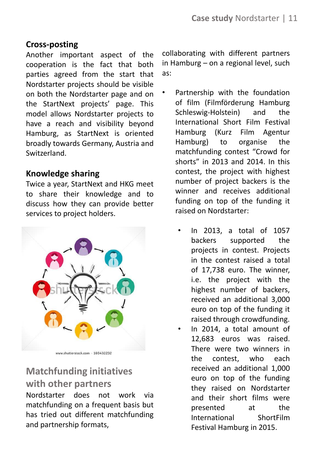### **Cross-posting**

Another important aspect of the cooperation is the fact that both parties agreed from the start that Nordstarter projects should be visible on both the Nordstarter page and on the StartNext projects' page. This model allows Nordstarter projects to have a reach and visibility beyond Hamburg, as StartNext is oriented broadly towards Germany, Austria and Switzerland.

### **Knowledge sharing**

Twice a year, StartNext and HKG meet to share their knowledge and to discuss how they can provide better services to project holders.



www.shutterstock.com · 169432232

### **Matchfunding initiatives with other partners**

Nordstarter does not work via matchfunding on a frequent basis but has tried out different matchfunding and partnership formats,

collaborating with different partners in Hamburg – on a regional level, such as:

- Partnership with the foundation of film (Filmförderung Hamburg Schleswig-Holstein) and the International Short Film Festival Hamburg (Kurz Film Agentur Hamburg) to organise the matchfunding contest "Crowd for shorts" in 2013 and 2014. In this contest, the project with highest number of project backers is the winner and receives additional funding on top of the funding it raised on Nordstarter:
	- In 2013, a total of 1057 backers supported the projects in contest. Projects in the contest raised a total of 17,738 euro. The winner, i.e. the project with the highest number of backers, received an additional 3,000 euro on top of the funding it raised through crowdfunding.
	- In 2014, a total amount of 12,683 euros was raised. There were two winners in the contest, who each received an additional 1,000 euro on top of the funding they raised on Nordstarter and their short films were presented at the International ShortFilm Festival Hamburg in 2015.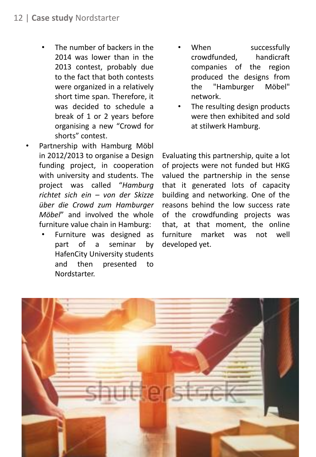- The number of backers in the 2014 was lower than in the 2013 contest, probably due to the fact that both contests were organized in a relatively short time span. Therefore, it was decided to schedule a break of 1 or 2 years before organising a new "Crowd for shorts" contest.
- Partnership with Hamburg Möbl in 2012/2013 to organise a Design funding project, in cooperation with university and students. The project was called "*Hamburg richtet sich ein – von der Skizze über die Crowd zum Hamburger Möbel*" and involved the whole furniture value chain in Hamburg:
	- Furniture was designed as part of a seminar by HafenCity University students and then presented to Nordstarter.
- When successfully crowdfunded, handicraft companies of the region produced the designs from the "Hamburger Möbel" network.
- The resulting design products were then exhibited and sold at stilwerk Hamburg.

Evaluating this partnership, quite a lot of projects were not funded but HKG valued the partnership in the sense that it generated lots of capacity building and networking. One of the reasons behind the low success rate of the crowdfunding projects was that, at that moment, the online furniture market was not well developed yet.

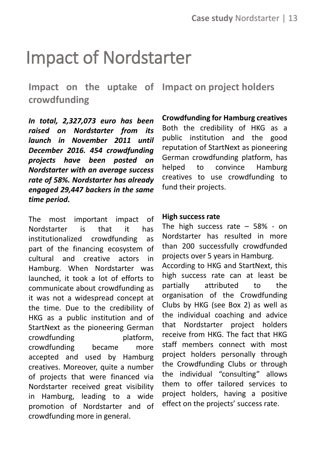## Impact of Nordstarter

**Impact on the uptake of Impact on project holders crowdfunding**

*In total, 2,327,073 euro has been raised on Nordstarter from its launch in November 2011 until December 2016. 454 crowdfunding projects have been posted on Nordstarter with an average success rate of 58%. Nordstarter has already engaged 29,447 backers in the same time period.*

The most important impact of Nordstarter is that it has institutionalized crowdfunding as part of the financing ecosystem of cultural and creative actors in Hamburg. When Nordstarter was launched, it took a lot of efforts to communicate about crowdfunding as it was not a widespread concept at the time. Due to the credibility of HKG as a public institution and of StartNext as the pioneering German crowdfunding platform. crowdfunding became more accepted and used by Hamburg creatives. Moreover, quite a number of projects that were financed via Nordstarter received great visibility in Hamburg, leading to a wide promotion of Nordstarter and of crowdfunding more in general.

**Crowdfunding for Hamburg creatives** Both the credibility of HKG as a public institution and the good reputation of StartNext as pioneering German crowdfunding platform, has helped to convince Hamburg creatives to use crowdfunding to fund their projects.

#### **High success rate**

The high success rate  $-58% - on$ Nordstarter has resulted in more than 200 successfully crowdfunded projects over 5 years in Hamburg. According to HKG and StartNext, this high success rate can at least be partially attributed to the organisation of the Crowdfunding Clubs by HKG (see Box 2) as well as the individual coaching and advice that Nordstarter project holders receive from HKG. The fact that HKG staff members connect with most project holders personally through the Crowdfunding Clubs or through the individual "consulting" allows them to offer tailored services to project holders, having a positive effect on the projects' success rate.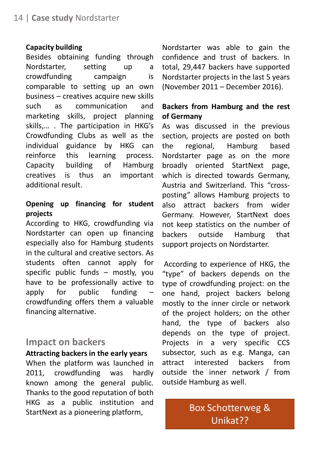#### **Capacity building**

Besides obtaining funding through Nordstarter, setting up a crowdfunding campaign is comparable to setting up an own business – creatives acquire new skills such as communication and marketing skills, project planning skills,… . The participation in HKG's Crowdfunding Clubs as well as the individual guidance by HKG can reinforce this learning process. Capacity building of Hamburg creatives is thus an important additional result.

### **Opening up financing for student projects**

According to HKG, crowdfunding via Nordstarter can open up financing especially also for Hamburg students in the cultural and creative sectors. As students often cannot apply for specific public funds – mostly, you have to be professionally active to apply for public funding – crowdfunding offers them a valuable financing alternative.

### **Impact on backers**

### **Attracting backers in the early years**

When the platform was launched in 2011, crowdfunding was hardly known among the general public. Thanks to the good reputation of both HKG as a public institution and StartNext as a pioneering platform,

Nordstarter was able to gain the confidence and trust of backers. In total, 29,447 backers have supported Nordstarter projects in the last 5 years (November 2011 – December 2016).

### **Backers from Hamburg and the rest of Germany**

As was discussed in the previous section, projects are posted on both the regional, Hamburg based Nordstarter page as on the more broadly oriented StartNext page, which is directed towards Germany, Austria and Switzerland. This "crossposting" allows Hamburg projects to also attract backers from wider Germany. However, StartNext does not keep statistics on the number of backers outside Hamburg that support projects on Nordstarter.

According to experience of HKG, the "type" of backers depends on the type of crowdfunding project: on the one hand, project backers belong mostly to the inner circle or network of the project holders; on the other hand, the type of backers also depends on the type of project. Projects in a very specific CCS subsector, such as e.g. Manga, can attract interested backers from outside the inner network / from outside Hamburg as well.

> Box Schotterweg & Unikat??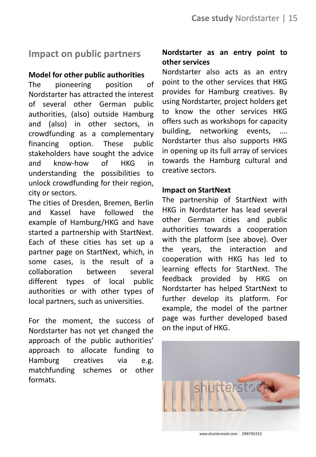### **Impact on public partners**

### **Model for other public authorities**

The pioneering position of Nordstarter has attracted the interest of several other German public authorities, (also) outside Hamburg and (also) in other sectors, in crowdfunding as a complementary financing option. These public stakeholders have sought the advice and know-how of HKG in understanding the possibilities to unlock crowdfunding for their region, city or sectors.

The cities of Dresden, Bremen, Berlin and Kassel have followed the example of Hamburg/HKG and have started a partnership with StartNext. Each of these cities has set up a partner page on StartNext, which, in some cases, is the result of a collaboration between several different types of local public authorities or with other types of local partners, such as universities.

For the moment, the success of Nordstarter has not yet changed the approach of the public authorities' approach to allocate funding to Hamburg creatives via e.g. matchfunding schemes or other formats.

### **Nordstarter as an entry point to other services**

Nordstarter also acts as an entry point to the other services that HKG provides for Hamburg creatives. By using Nordstarter, project holders get to know the other services HKG offers such as workshops for capacity building, networking events, …. Nordstarter thus also supports HKG in opening up its full array of services towards the Hamburg cultural and creative sectors.

### **Impact on StartNext**

The partnership of StartNext with HKG in Nordstarter has lead several other German cities and public authorities towards a cooperation with the platform (see above). Over the years, the interaction and cooperation with HKG has led to learning effects for StartNext. The feedback provided by HKG on Nordstarter has helped StartNext to further develop its platform. For example, the model of the partner page was further developed based on the input of HKG.



www.shutterstock.com · 296795315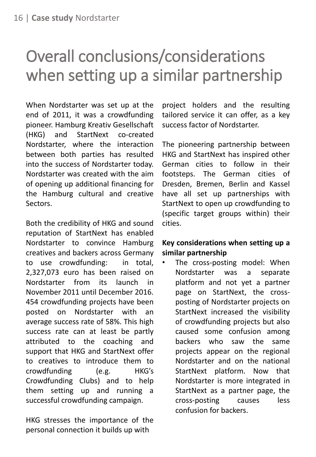## Overall conclusions/considerations when setting up a similar partnership

When Nordstarter was set up at the end of 2011, it was a crowdfunding pioneer. Hamburg Kreativ Gesellschaft (HKG) and StartNext co-created Nordstarter, where the interaction between both parties has resulted into the success of Nordstarter today. Nordstarter was created with the aim of opening up additional financing for the Hamburg cultural and creative Sectors.

Both the credibility of HKG and sound reputation of StartNext has enabled Nordstarter to convince Hamburg creatives and backers across Germany to use crowdfunding: in total, 2,327,073 euro has been raised on Nordstarter from its launch in November 2011 until December 2016. 454 crowdfunding projects have been posted on Nordstarter with an average success rate of 58%. This high success rate can at least be partly attributed to the coaching and support that HKG and StartNext offer to creatives to introduce them to crowdfunding (e.g. HKG's Crowdfunding Clubs) and to help them setting up and running a successful crowdfunding campaign.

HKG stresses the importance of the personal connection it builds up with

project holders and the resulting tailored service it can offer, as a key success factor of Nordstarter.

The pioneering partnership between HKG and StartNext has inspired other German cities to follow in their footsteps. The German cities of Dresden, Bremen, Berlin and Kassel have all set up partnerships with StartNext to open up crowdfunding to (specific target groups within) their cities.

### **Key considerations when setting up a similar partnership**

The cross-posting model: When Nordstarter was a separate platform and not yet a partner page on StartNext, the crossposting of Nordstarter projects on StartNext increased the visibility of crowdfunding projects but also caused some confusion among backers who saw the same projects appear on the regional Nordstarter and on the national StartNext platform. Now that Nordstarter is more integrated in StartNext as a partner page, the cross-posting causes less confusion for backers.